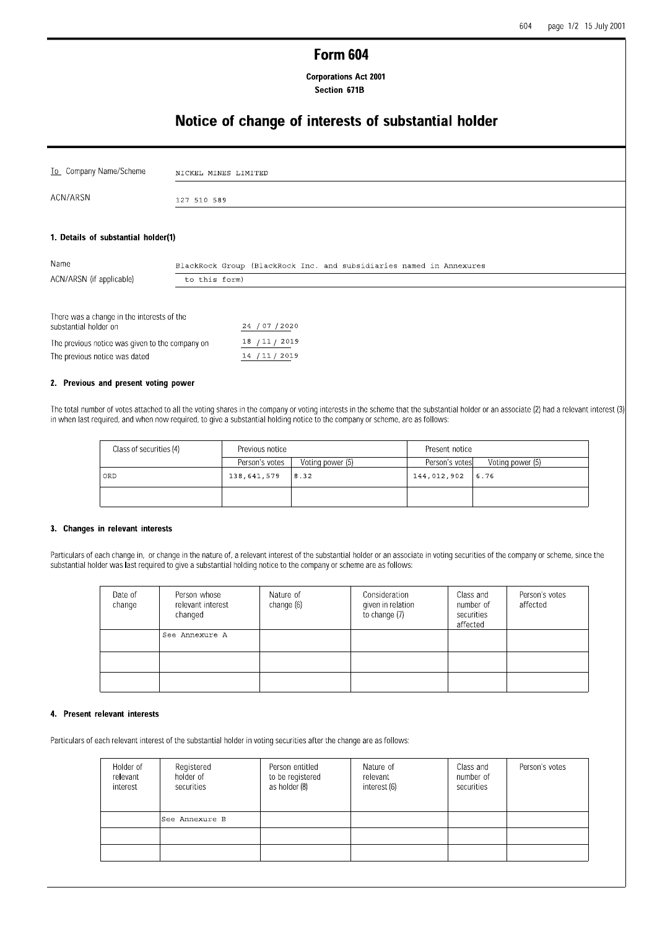## **Form 604**

**Corporations Act 2001** Section 671B

# Notice of change of interests of substantial holder

| To Company Name/Scheme                                              | NICKEL MINES LIMITED                                                |  |
|---------------------------------------------------------------------|---------------------------------------------------------------------|--|
| ACN/ARSN                                                            | 127 510 589                                                         |  |
| 1. Details of substantial holder(1)                                 |                                                                     |  |
| Name                                                                | BlackRock Group (BlackRock Inc. and subsidiaries named in Annexures |  |
| ACN/ARSN (if applicable)                                            | to this form)                                                       |  |
| There was a change in the interests of the<br>auhotootiol holder on | 24.727.2020                                                         |  |

| substantial holder on                           | 24 / 07 / 2020 |
|-------------------------------------------------|----------------|
| The previous notice was given to the company on | 18 / 11 / 2019 |
| The previous notice was dated                   | 14 / 11 / 2019 |

### 2. Previous and present voting power

The total number of votes attached to all the voting shares in the company or voting interests in the scheme that the substantial holder or an associate (2) had a relevant interest (3) in when last required, and when now required, to give a substantial holding notice to the company or scheme, are as follows:

| Class of securities (4) | Previous notice |                  | Present notice     |                  |  |
|-------------------------|-----------------|------------------|--------------------|------------------|--|
|                         | Person's votes  | Voting power (5) | Person's votes     | Voting power (5) |  |
| ORD.                    | 138,641,579     | 8.32             | $144,012,902$ 6.76 |                  |  |
|                         |                 |                  |                    |                  |  |

### 3. Changes in relevant interests

Particulars of each change in, or change in the nature of, a relevant interest of the substantial holder or an associate in voting securities of the company or scheme, since the substantial holder was last required to give a substantial holding notice to the company or scheme are as follows:

| Date of<br>change | Person whose<br>relevant interest<br>changed | Nature of<br>change (6) | Consideration<br>given in relation<br>to change (7) | Class and<br>number of<br>securities<br>affected | Person's votes<br>affected |
|-------------------|----------------------------------------------|-------------------------|-----------------------------------------------------|--------------------------------------------------|----------------------------|
|                   | See Annexure A                               |                         |                                                     |                                                  |                            |
|                   |                                              |                         |                                                     |                                                  |                            |
|                   |                                              |                         |                                                     |                                                  |                            |

### 4 Present relevant interests

Particulars of each relevant interest of the substantial holder in voting securities after the change are as follows:

| Holder of<br>relevant<br>interest | Registered<br>holder of<br>securities | Person entitled<br>to be registered<br>as holder (8) | Nature of<br>relevant<br>interest (6) | Class and<br>number of<br>securities | Person's votes |
|-----------------------------------|---------------------------------------|------------------------------------------------------|---------------------------------------|--------------------------------------|----------------|
|                                   | See Annexure B                        |                                                      |                                       |                                      |                |
|                                   |                                       |                                                      |                                       |                                      |                |
|                                   |                                       |                                                      |                                       |                                      |                |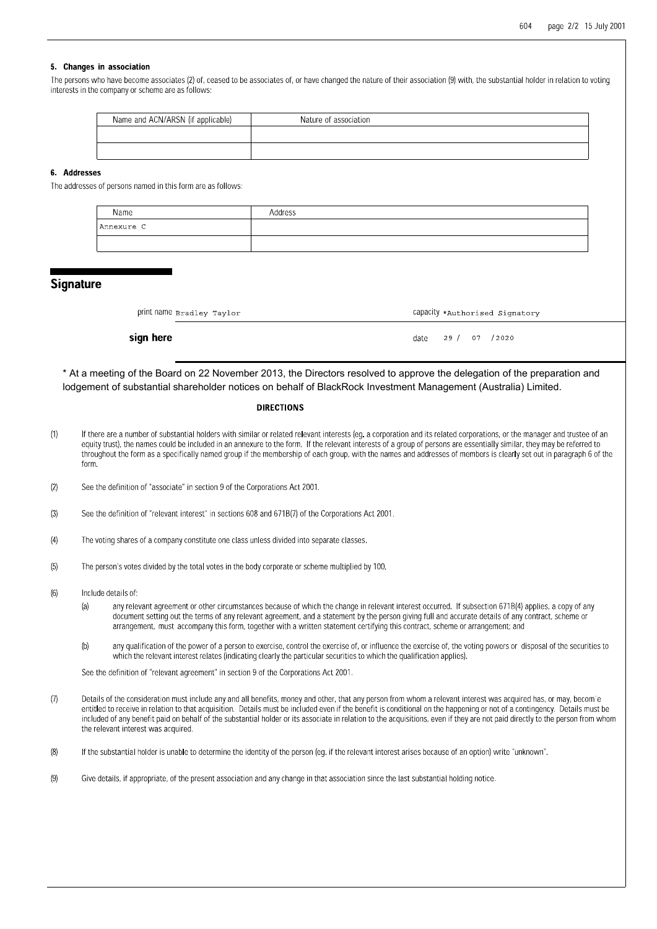### 5. Changes in association

The persons who have become associates (2) of, ceased to be associates of, or have changed the nature of their association (9) with, the substantial holder in relation to voting interests in the company or scheme are as follows:

|                  | Name and ACN/ARSN (if applicable)                       | Nature of association |                                                                                                                                                                                                                                                                                                                                                                                                                                                                                                                             |
|------------------|---------------------------------------------------------|-----------------------|-----------------------------------------------------------------------------------------------------------------------------------------------------------------------------------------------------------------------------------------------------------------------------------------------------------------------------------------------------------------------------------------------------------------------------------------------------------------------------------------------------------------------------|
|                  |                                                         |                       |                                                                                                                                                                                                                                                                                                                                                                                                                                                                                                                             |
| <b>Addresses</b> |                                                         |                       |                                                                                                                                                                                                                                                                                                                                                                                                                                                                                                                             |
|                  | addresses of persons named in this form are as follows: |                       |                                                                                                                                                                                                                                                                                                                                                                                                                                                                                                                             |
|                  | Name                                                    | Address               |                                                                                                                                                                                                                                                                                                                                                                                                                                                                                                                             |
|                  | Annexure C                                              |                       |                                                                                                                                                                                                                                                                                                                                                                                                                                                                                                                             |
|                  |                                                         |                       |                                                                                                                                                                                                                                                                                                                                                                                                                                                                                                                             |
|                  |                                                         |                       |                                                                                                                                                                                                                                                                                                                                                                                                                                                                                                                             |
| gnature          |                                                         |                       |                                                                                                                                                                                                                                                                                                                                                                                                                                                                                                                             |
|                  | print name Bradley Taylor                               |                       | Capacity *Authorised Signatory                                                                                                                                                                                                                                                                                                                                                                                                                                                                                              |
|                  | sign here                                               |                       | 29/<br>07 / 2020<br>date                                                                                                                                                                                                                                                                                                                                                                                                                                                                                                    |
|                  |                                                         |                       |                                                                                                                                                                                                                                                                                                                                                                                                                                                                                                                             |
|                  |                                                         |                       | * At a meeting of the Board on 22 November 2013, the Directors resolved to approve the delegation of the preparation and<br>lodgement of substantial shareholder notices on behalf of BlackRock Investment Management (Australia) Limited.                                                                                                                                                                                                                                                                                  |
|                  |                                                         | <b>DIRECTIONS</b>     |                                                                                                                                                                                                                                                                                                                                                                                                                                                                                                                             |
|                  |                                                         |                       | If there are a number of substantial holders with similar or related relevant interests (eg. a corporation and its related corporations, or the manager and trustee of an<br>equity trust), the names could be included in an annexure to the form. If the relevant interests of a group of persons are essentially similar, they may be referred to<br>throughout the form as a specifically named group if the membership of each group, with the names and addresses of members is clearly set out in paragraph 6 of the |

| Name       | Address |
|------------|---------|
| Annexure C |         |
|            |         |

| print name Bradley Taylor | Capacity *Authorised Signatory |  |
|---------------------------|--------------------------------|--|
|                           |                                |  |

- $(1)$ form.
- $(2)$ See the definition of "associate" in section 9 of the Corporations Act 2001.
- $(3)$ See the definition of "relevant interest" in sections 608 and 671B(7) of the Corporations Act 2001.
- $(4)$ The voting shares of a company constitute one class unless divided into separate classes.
- The person's votes divided by the total votes in the body corporate or scheme multiplied by 100.  $(5)$
- $(6)$ Include details of:
	- $(a)$ any relevant agreement or other circumstances because of which the change in relevant interest occurred. If subsection 671B(4) applies, a copy of any document setting out the terms of any relevant agreement, and a statement by the person giving full and accurate details of any contract, scheme or arrangement, must accompany this form, together with a written statement certifying this contract, scheme or arrangement; and
	- any qualification of the power of a person to exercise, control the exercise of, or influence the exercise of, the voting powers or disposal of the securities to  $(b)$ which the relevant interest relates (indicating clearly the particular securities to which the qualification applies).

See the definition of "relevant agreement" in section 9 of the Corporations Act 2001.

- Details of the consideration must include any and all benefits, money and other, that any person from whom a relevant interest was acquired has, or may, becom'e  $(7)$ entitled to receive in relation to that acquisition. Details must be included even if the benefit is conditional on the happening or not of a contingency. Details must be included of any benefit paid on behalf of the substantial holder or its associate in relation to the acquisitions, even if they are not paid directly to the person from whom the relevant interest was acquired.
- $(8)$ If the substantial holder is unable to determine the identity of the person (eg. if the relevant interest arises because of an option) write "unknown".
- $(9)$ Give details, if appropriate, of the present association and any change in that association since the last substantial holding notice.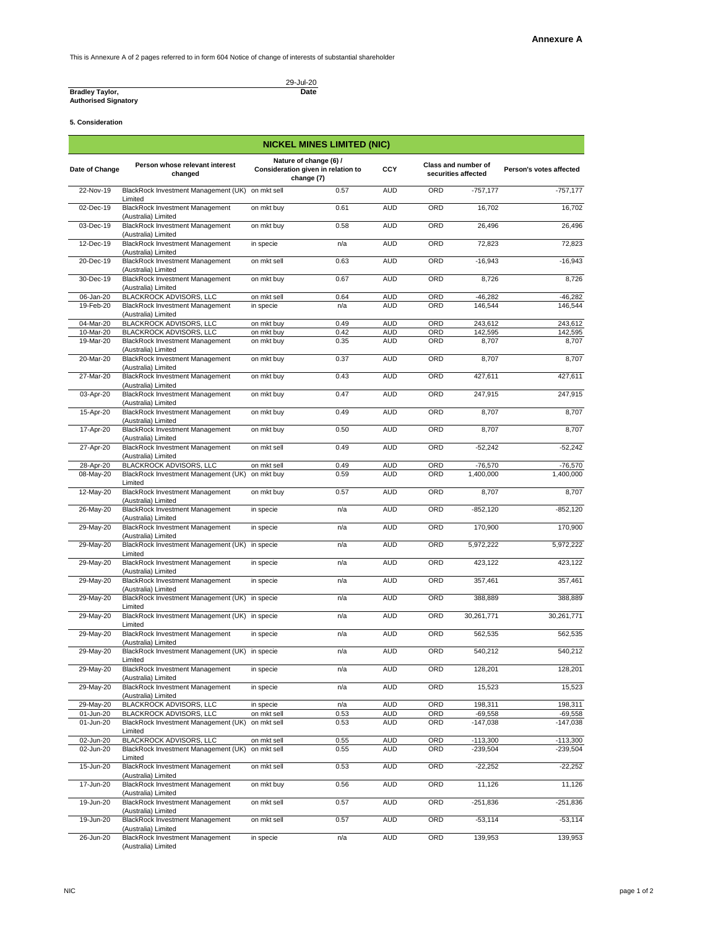This is Annexure A of 2 pages referred to in form 604 Notice of change of interests of substantial shareholder

### **5. Consideration**

|                             | 29-Jul-20 |
|-----------------------------|-----------|
| <b>Bradley Taylor,</b>      | Date      |
| <b>Authorised Signatory</b> |           |

| <b>NICKEL MINES LIMITED (NIC)</b> |                                                                             |             |                                                                            |                          |                   |                                                   |                         |  |
|-----------------------------------|-----------------------------------------------------------------------------|-------------|----------------------------------------------------------------------------|--------------------------|-------------------|---------------------------------------------------|-------------------------|--|
| Date of Change                    | Person whose relevant interest<br>changed                                   |             | Nature of change (6) /<br>Consideration given in relation to<br>change (7) | <b>CCY</b>               |                   | <b>Class and number of</b><br>securities affected | Person's votes affected |  |
| 22-Nov-19                         | BlackRock Investment Management (UK)<br>Limited                             | on mkt sell | 0.57                                                                       | <b>AUD</b>               | ORD               | $-757,177$                                        | $-757,177$              |  |
| 02-Dec-19                         | <b>BlackRock Investment Management</b><br>(Australia) Limited               | on mkt buy  | 0.61                                                                       | <b>AUD</b>               | ORD               | 16,702                                            | 16,702                  |  |
| 03-Dec-19                         | <b>BlackRock Investment Management</b><br>(Australia) Limited               | on mkt buy  | 0.58                                                                       | <b>AUD</b>               | ORD               | 26,496                                            | 26,496                  |  |
| 12-Dec-19                         | <b>BlackRock Investment Management</b><br>(Australia) Limited               | in specie   | n/a                                                                        | <b>AUD</b>               | ORD               | 72,823                                            | 72,823                  |  |
| 20-Dec-19                         | <b>BlackRock Investment Management</b><br>(Australia) Limited               | on mkt sell | 0.63                                                                       | <b>AUD</b>               | ORD               | $-16,943$                                         | $-16,943$               |  |
| 30-Dec-19                         | <b>BlackRock Investment Management</b><br>(Australia) Limited               | on mkt buy  | 0.67                                                                       | <b>AUD</b>               | <b>ORD</b>        | 8,726                                             | 8,726                   |  |
| 06-Jan-20                         | <b>BLACKROCK ADVISORS, LLC</b>                                              | on mkt sell | 0.64                                                                       | <b>AUD</b>               | <b>ORD</b>        | $-46,282$                                         | $-46,282$               |  |
| 19-Feb-20                         | <b>BlackRock Investment Management</b><br>(Australia) Limited               | in specie   | n/a                                                                        | <b>AUD</b>               | ORD               | 146,544                                           | 146,544                 |  |
| 04-Mar-20                         | BLACKROCK ADVISORS, LLC                                                     | on mkt buy  | 0.49                                                                       | <b>AUD</b>               | ORD               | 243,612                                           | 243,612                 |  |
| 10-Mar-20                         | BLACKROCK ADVISORS, LLC                                                     | on mkt buy  | 0.42                                                                       | <b>AUD</b>               | <b>ORD</b>        | 142,595                                           | 142,595                 |  |
| 19-Mar-20                         | <b>BlackRock Investment Management</b><br>(Australia) Limited               | on mkt buy  | 0.35                                                                       | <b>AUD</b>               | ORD               | 8,707                                             | 8,707                   |  |
| 20-Mar-20                         | <b>BlackRock Investment Management</b><br>(Australia) Limited               | on mkt buy  | 0.37                                                                       | <b>AUD</b>               | ORD               | 8,707                                             | 8,707                   |  |
| 27-Mar-20                         | <b>BlackRock Investment Management</b><br>(Australia) Limited               | on mkt buy  | 0.43                                                                       | <b>AUD</b>               | ORD               | 427,611                                           | 427,611                 |  |
| 03-Apr-20                         | <b>BlackRock Investment Management</b><br>(Australia) Limited               | on mkt buy  | 0.47                                                                       | <b>AUD</b>               | ORD               | 247,915                                           | 247,915                 |  |
| 15-Apr-20                         | <b>BlackRock Investment Management</b><br>(Australia) Limited               | on mkt buy  | 0.49                                                                       | <b>AUD</b>               | ORD               | 8,707                                             | 8,707                   |  |
| 17-Apr-20                         | <b>BlackRock Investment Management</b><br>(Australia) Limited               | on mkt buy  | 0.50                                                                       | <b>AUD</b>               | ORD               | 8,707                                             | 8,707                   |  |
| 27-Apr-20                         | <b>BlackRock Investment Management</b><br>(Australia) Limited               | on mkt sell | 0.49                                                                       | <b>AUD</b>               | ORD               | $-52,242$                                         | $-52,242$               |  |
| 28-Apr-20                         | BLACKROCK ADVISORS, LLC                                                     | on mkt sell | 0.49                                                                       | <b>AUD</b>               | ORD               | $-76,570$                                         | $-76,570$               |  |
| 08-May-20                         | BlackRock Investment Management (UK) on mkt buy                             |             | 0.59                                                                       | <b>AUD</b>               | ORD               | 1,400,000                                         | 1,400,000               |  |
| 12-May-20                         | Limited<br><b>BlackRock Investment Management</b><br>(Australia) Limited    | on mkt buy  | 0.57                                                                       | <b>AUD</b>               | ORD               | 8,707                                             | 8,707                   |  |
| 26-May-20                         | <b>BlackRock Investment Management</b><br>(Australia) Limited               | in specie   | n/a                                                                        | <b>AUD</b>               | ORD               | $-852,120$                                        | $-852,120$              |  |
| 29-May-20                         | <b>BlackRock Investment Management</b><br>(Australia) Limited               | in specie   | n/a                                                                        | <b>AUD</b>               | ORD               | 170,900                                           | 170,900                 |  |
| 29-May-20                         | BlackRock Investment Management (UK) in specie<br>Limited                   |             | n/a                                                                        | <b>AUD</b>               | ORD               | 5,972,222                                         | 5,972,222               |  |
| 29-May-20                         | <b>BlackRock Investment Management</b><br>(Australia) Limited               | in specie   | n/a                                                                        | <b>AUD</b>               | ORD               | 423,122                                           | 423,122                 |  |
| 29-May-20                         | <b>BlackRock Investment Management</b><br>(Australia) Limited               | in specie   | n/a                                                                        | <b>AUD</b>               | ORD               | 357,461                                           | 357,461                 |  |
| 29-May-20                         | BlackRock Investment Management (UK) in specie<br>Limited                   |             | n/a                                                                        | <b>AUD</b>               | ORD               | 388,889                                           | 388,889                 |  |
| 29-May-20                         | BlackRock Investment Management (UK) in specie<br>Limited                   |             | n/a                                                                        | <b>AUD</b>               | ORD               | 30,261,771                                        | 30,261,771              |  |
| 29-May-20                         | <b>BlackRock Investment Management</b><br>(Australia) Limited               | in specie   | n/a                                                                        | <b>AUD</b>               | ORD               | 562,535                                           | 562,535                 |  |
| 29-May-20                         | BlackRock Investment Management (UK) in specie<br>Limited                   |             | n/a                                                                        | <b>AUD</b>               | ORD               | 540,212                                           | 540,212                 |  |
| 29-May-20                         | <b>BlackRock Investment Management</b><br>(Australia) Limited               | in specie   | n/a                                                                        | <b>AUD</b>               | ORD               | 128,201                                           | 128,201                 |  |
| 29-May-20                         | <b>BlackRock Investment Management</b><br>(Australia) Limited               | in specie   | n/a                                                                        | <b>AUD</b>               | ORD               | 15,523                                            | 15,523                  |  |
| 29-May-20                         | BLACKROCK ADVISORS, LLC                                                     | in specie   | n/a                                                                        | <b>AUD</b>               | ORD               | 198,311                                           | 198,311                 |  |
| 01-Jun-20<br>01-Jun-20            | BLACKROCK ADVISORS, LLC<br>BlackRock Investment Management (UK) on mkt sell | on mkt sell | 0.53<br>0.53                                                               | <b>AUD</b><br><b>AUD</b> | <b>ORD</b><br>ORD | $-69,558$<br>$-147,038$                           | $-69,558$<br>$-147,038$ |  |
| 02-Jun-20                         | Limited<br><b>BLACKROCK ADVISORS, LLC</b>                                   | on mkt sell | 0.55                                                                       | <b>AUD</b>               | ORD               | $-113,300$                                        | $-113,300$              |  |
| 02-Jun-20                         | BlackRock Investment Management (UK)                                        | on mkt sell | 0.55                                                                       | <b>AUD</b>               | ORD               | $-239,504$                                        | $-239,504$              |  |
| 15-Jun-20                         | Limited<br><b>BlackRock Investment Management</b>                           | on mkt sell | 0.53                                                                       | <b>AUD</b>               | ORD               | $-22,252$                                         | $-22,252$               |  |
| 17-Jun-20                         | (Australia) Limited<br><b>BlackRock Investment Management</b>               | on mkt buy  | 0.56                                                                       | <b>AUD</b>               | ORD               | 11,126                                            | 11,126                  |  |
| 19-Jun-20                         | (Australia) Limited<br><b>BlackRock Investment Management</b>               | on mkt sell | 0.57                                                                       | <b>AUD</b>               | ORD               | $-251,836$                                        | $-251,836$              |  |
| 19-Jun-20                         | (Australia) Limited<br><b>BlackRock Investment Management</b>               | on mkt sell | 0.57                                                                       | <b>AUD</b>               | ORD               | $-53,114$                                         | $-53,114$               |  |
| 26-Jun-20                         | (Australia) Limited<br><b>BlackRock Investment Management</b>               | in specie   | n/a                                                                        | <b>AUD</b>               | ORD               | 139,953                                           | 139,953                 |  |
|                                   | (Australia) Limited                                                         |             |                                                                            |                          |                   |                                                   |                         |  |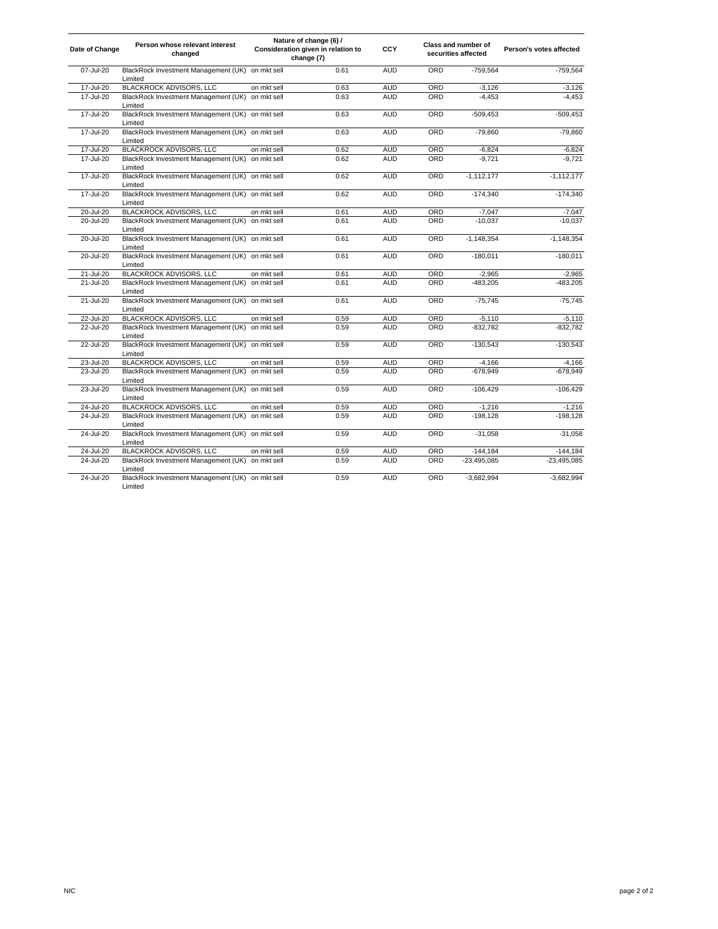| Date of Change | Person whose relevant interest<br>changed                   | Nature of change (6) /<br>Consideration given in relation to<br>change (7) |      | <b>CCY</b> |            | Class and number of<br>securities affected | Person's votes affected |  |
|----------------|-------------------------------------------------------------|----------------------------------------------------------------------------|------|------------|------------|--------------------------------------------|-------------------------|--|
| 07-Jul-20      | BlackRock Investment Management (UK) on mkt sell<br>Limited |                                                                            | 0.61 | <b>AUD</b> | ORD        | $-759,564$                                 | $-759,564$              |  |
| 17-Jul-20      | BLACKROCK ADVISORS, LLC                                     | on mkt sell                                                                | 0.63 | <b>AUD</b> | ORD        | $-3,126$                                   | $-3,126$                |  |
| 17-Jul-20      | BlackRock Investment Management (UK)                        | on mkt sell                                                                | 0.63 | <b>AUD</b> | ORD        | $-4,453$                                   | $-4,453$                |  |
|                | Limited                                                     |                                                                            |      |            |            |                                            |                         |  |
| 17-Jul-20      | BlackRock Investment Management (UK) on mkt sell<br>Limited |                                                                            | 0.63 | <b>AUD</b> | ORD        | $-509,453$                                 | $-509,453$              |  |
| 17-Jul-20      | BlackRock Investment Management (UK) on mkt sell<br>Limited |                                                                            | 0.63 | <b>AUD</b> | ORD        | $-79,860$                                  | $-79,860$               |  |
| 17-Jul-20      | BLACKROCK ADVISORS, LLC                                     | on mkt sell                                                                | 0.62 | <b>AUD</b> | ORD        | $-6,824$                                   | $-6,824$                |  |
| 17-Jul-20      | BlackRock Investment Management (UK)<br>Limited             | on mkt sell                                                                | 0.62 | <b>AUD</b> | <b>ORD</b> | $-9,721$                                   | $-9,721$                |  |
| 17-Jul-20      | BlackRock Investment Management (UK) on mkt sell<br>Limited |                                                                            | 0.62 | <b>AUD</b> | ORD        | $-1,112,177$                               | $-1,112,177$            |  |
| 17-Jul-20      | BlackRock Investment Management (UK) on mkt sell<br>Limited |                                                                            | 0.62 | <b>AUD</b> | ORD        | $-174,340$                                 | $-174,340$              |  |
| 20-Jul-20      | BLACKROCK ADVISORS, LLC                                     | on mkt sell                                                                | 0.61 | <b>AUD</b> | ORD        | $-7,047$                                   | $-7,047$                |  |
| 20-Jul-20      | BlackRock Investment Management (UK)<br>Limited             | on mkt sell                                                                | 0.61 | <b>AUD</b> | ORD        | $-10,037$                                  | $-10,037$               |  |
| 20-Jul-20      | BlackRock Investment Management (UK) on mkt sell<br>Limited |                                                                            | 0.61 | <b>AUD</b> | ORD        | $-1,148,354$                               | $-1,148,354$            |  |
| 20-Jul-20      | BlackRock Investment Management (UK) on mkt sell<br>Limited |                                                                            | 0.61 | <b>AUD</b> | ORD        | $-180,011$                                 | $-180,011$              |  |
| 21-Jul-20      | BLACKROCK ADVISORS, LLC                                     | on mkt sell                                                                | 0.61 | <b>AUD</b> | ORD        | $-2,965$                                   | $-2,965$                |  |
| 21-Jul-20      | BlackRock Investment Management (UK)<br>Limited             | on mkt sell                                                                | 0.61 | <b>AUD</b> | ORD        | $-483,205$                                 | $-483,205$              |  |
| 21-Jul-20      | BlackRock Investment Management (UK) on mkt sell<br>Limited |                                                                            | 0.61 | <b>AUD</b> | ORD        | $-75,745$                                  | $-75,745$               |  |
| 22-Jul-20      | BLACKROCK ADVISORS, LLC                                     | on mkt sell                                                                | 0.59 | <b>AUD</b> | ORD        | $-5,110$                                   | $-5,110$                |  |
| 22-Jul-20      | BlackRock Investment Management (UK)<br>Limited             | on mkt sell                                                                | 0.59 | <b>AUD</b> | <b>ORD</b> | $-832,782$                                 | $-832,782$              |  |
| 22-Jul-20      | BlackRock Investment Management (UK) on mkt sell<br>Limited |                                                                            | 0.59 | <b>AUD</b> | ORD        | $-130,543$                                 | $-130,543$              |  |
| 23-Jul-20      | <b>BLACKROCK ADVISORS, LLC</b>                              | on mkt sell                                                                | 0.59 | <b>AUD</b> | ORD        | $-4,166$                                   | $-4,166$                |  |
| 23-Jul-20      | BlackRock Investment Management (UK) on mkt sell<br>Limited |                                                                            | 0.59 | <b>AUD</b> | ORD        | $-678,949$                                 | $-678,949$              |  |
| 23-Jul-20      | BlackRock Investment Management (UK) on mkt sell<br>Limited |                                                                            | 0.59 | <b>AUD</b> | ORD        | $-106,429$                                 | $-106,429$              |  |
| 24-Jul-20      | BLACKROCK ADVISORS, LLC                                     | on mkt sell                                                                | 0.59 | <b>AUD</b> | ORD        | $-1,216$                                   | $-1,216$                |  |
| 24-Jul-20      | BlackRock Investment Management (UK)<br>Limited             | on mkt sell                                                                | 0.59 | <b>AUD</b> | ORD        | $-198,128$                                 | $-198,128$              |  |
| 24-Jul-20      | BlackRock Investment Management (UK) on mkt sell<br>Limited |                                                                            | 0.59 | <b>AUD</b> | ORD        | $-31,058$                                  | $-31,058$               |  |
| 24-Jul-20      | BLACKROCK ADVISORS, LLC                                     | on mkt sell                                                                | 0.59 | <b>AUD</b> | ORD        | $-144,184$                                 | $-144,184$              |  |
| 24-Jul-20      | BlackRock Investment Management (UK)<br>Limited             | on mkt sell                                                                | 0.59 | <b>AUD</b> | ORD        | $-23,495,085$                              | $-23,495,085$           |  |
| 24-Jul-20      | BlackRock Investment Management (UK) on mkt sell<br>Limited |                                                                            | 0.59 | <b>AUD</b> | ORD        | $-3,682,994$                               | $-3,682,994$            |  |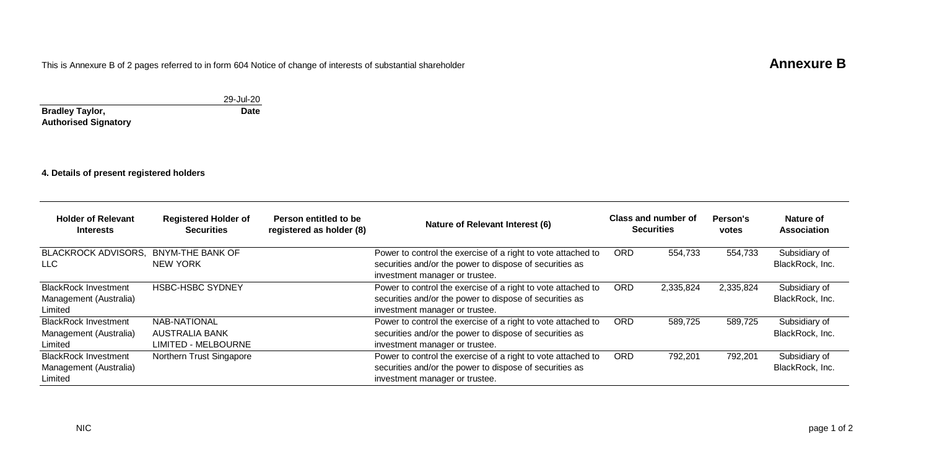This is Annexure B of 2 pages referred to in form 604 Notice of change of interests of substantial shareholder **Annexure B** 

29-Jul-20 **Bradley Taylor, Authorised Signatory Date**

**4. Details of present registered holders**

| <b>Holder of Relevant</b><br><b>Interests</b>                    | <b>Registered Holder of</b><br><b>Securities</b>             | Person entitled to be<br>registered as holder (8) | Nature of Relevant Interest (6)                                                                                                                           |            | Class and number of<br><b>Securities</b> |           | Nature of<br>Association         |
|------------------------------------------------------------------|--------------------------------------------------------------|---------------------------------------------------|-----------------------------------------------------------------------------------------------------------------------------------------------------------|------------|------------------------------------------|-----------|----------------------------------|
| <b>BLACKROCK ADVISORS.</b><br>LLC.                               | <b>BNYM-THE BANK OF</b><br><b>NEW YORK</b>                   |                                                   | Power to control the exercise of a right to vote attached to<br>securities and/or the power to dispose of securities as<br>investment manager or trustee. | <b>ORD</b> | 554,733                                  | 554.733   | Subsidiary of<br>BlackRock, Inc. |
| <b>BlackRock Investment</b><br>Management (Australia)<br>Limited | <b>HSBC-HSBC SYDNEY</b>                                      |                                                   | Power to control the exercise of a right to vote attached to<br>securities and/or the power to dispose of securities as<br>investment manager or trustee. | <b>ORD</b> | 2,335,824                                | 2,335,824 | Subsidiary of<br>BlackRock, Inc. |
| <b>BlackRock Investment</b><br>Management (Australia)<br>Limited | NAB-NATIONAL<br>AUSTRALIA BANK<br><b>LIMITED - MELBOURNE</b> |                                                   | Power to control the exercise of a right to vote attached to<br>securities and/or the power to dispose of securities as<br>investment manager or trustee. | <b>ORD</b> | 589,725                                  | 589,725   | Subsidiary of<br>BlackRock, Inc. |
| <b>BlackRock Investment</b><br>Management (Australia)<br>Limited | Northern Trust Singapore                                     |                                                   | Power to control the exercise of a right to vote attached to<br>securities and/or the power to dispose of securities as<br>investment manager or trustee. | <b>ORD</b> | 792,201                                  | 792,201   | Subsidiary of<br>BlackRock, Inc. |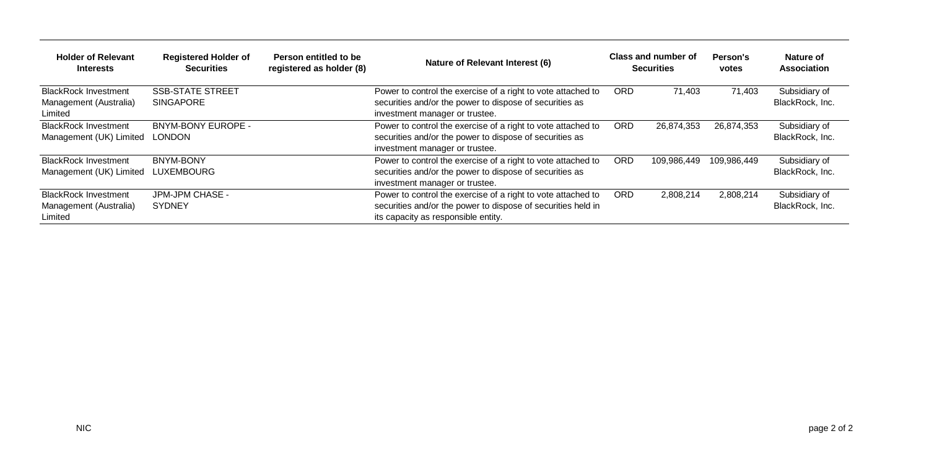| <b>Holder of Relevant</b><br><b>Interests</b>                    | <b>Registered Holder of</b><br><b>Securities</b> | Person entitled to be<br>registered as holder (8) | Nature of Relevant Interest (6)                                                                                                                                     |            | Class and number of<br><b>Securities</b> | Person's<br>votes | Nature of<br>Association         |
|------------------------------------------------------------------|--------------------------------------------------|---------------------------------------------------|---------------------------------------------------------------------------------------------------------------------------------------------------------------------|------------|------------------------------------------|-------------------|----------------------------------|
| <b>BlackRock Investment</b><br>Management (Australia)<br>Limited | <b>SSB-STATE STREET</b><br><b>SINGAPORE</b>      |                                                   | Power to control the exercise of a right to vote attached to<br>securities and/or the power to dispose of securities as<br>investment manager or trustee.           | <b>ORD</b> | 71.403                                   | 71,403            | Subsidiary of<br>BlackRock, Inc. |
| <b>BlackRock Investment</b><br>Management (UK) Limited           | <b>BNYM-BONY EUROPE -</b><br><b>LONDON</b>       |                                                   | Power to control the exercise of a right to vote attached to<br>securities and/or the power to dispose of securities as<br>investment manager or trustee.           | <b>ORD</b> | 26,874,353                               | 26.874.353        | Subsidiary of<br>BlackRock, Inc. |
| <b>BlackRock Investment</b><br>Management (UK) Limited           | <b>BNYM-BONY</b><br><b>LUXEMBOURG</b>            |                                                   | Power to control the exercise of a right to vote attached to<br>securities and/or the power to dispose of securities as<br>investment manager or trustee.           | <b>ORD</b> | 109,986,449                              | 109.986.449       | Subsidiary of<br>BlackRock, Inc. |
| <b>BlackRock Investment</b><br>Management (Australia)<br>Limited | JPM-JPM CHASE -<br><b>SYDNEY</b>                 |                                                   | Power to control the exercise of a right to vote attached to<br>securities and/or the power to dispose of securities held in<br>its capacity as responsible entity. | <b>ORD</b> | 2,808,214                                | 2.808.214         | Subsidiary of<br>BlackRock, Inc. |